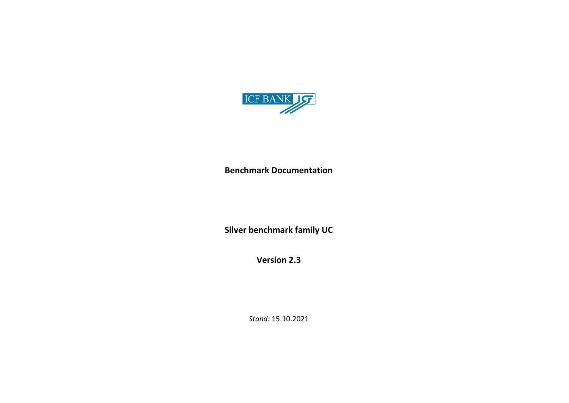

**Benchmark Documentation**

**Silver benchmark family UC**

**Version 2.3**

*Stand:* 15.10.2021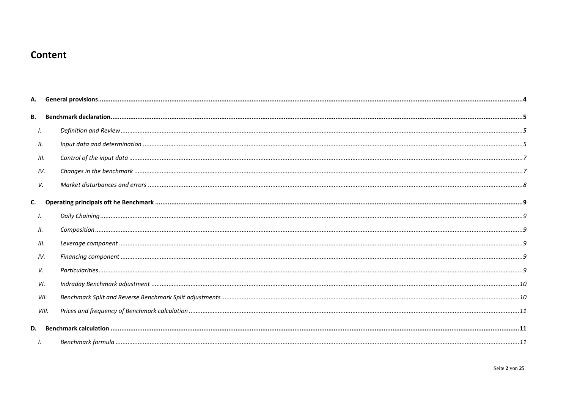# Content

| В.   |       |  |
|------|-------|--|
| Ι.   |       |  |
| П.   |       |  |
| III. |       |  |
| IV.  |       |  |
| V.   |       |  |
|      |       |  |
| Ι.   |       |  |
| 11.  |       |  |
| Ш.   |       |  |
| IV.  |       |  |
| V.   |       |  |
|      | VI.   |  |
|      | VII.  |  |
|      | VIII. |  |
| D.   |       |  |
|      |       |  |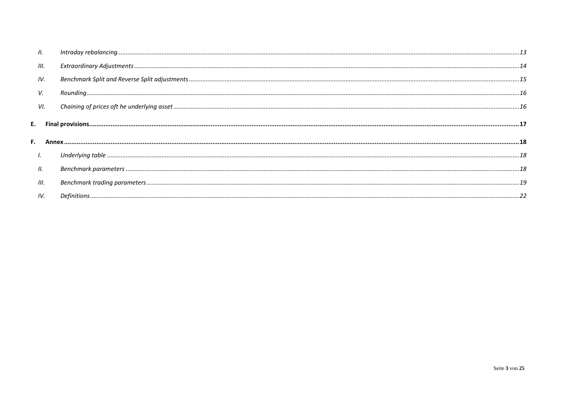| Н.   |                                                                                                                                                                                                                                                                                                                                                                                                                                                                                                              |  |
|------|--------------------------------------------------------------------------------------------------------------------------------------------------------------------------------------------------------------------------------------------------------------------------------------------------------------------------------------------------------------------------------------------------------------------------------------------------------------------------------------------------------------|--|
| III. |                                                                                                                                                                                                                                                                                                                                                                                                                                                                                                              |  |
| IV.  |                                                                                                                                                                                                                                                                                                                                                                                                                                                                                                              |  |
| v.   | $\begin{minipage}[c]{0.9\linewidth} \textit{Rounding} \end{minipage}[150] \begin{minipage}[c]{0.9\linewidth} \textit{Rounding} \end{minipage}[150] \begin{minipage}[c]{0.9\linewidth} \textit{Rounding} \end{minipage}[150] \begin{minipage}[c]{0.9\linewidth} \textit{Rounding} \end{minipage}[150] \begin{minipage}[c]{0.9\linewidth} \textit{Rounding} \end{minipage}[150] \begin{minipage}[c]{0.9\linewidth} \textit{Rounding} \end{minipage}[150] \begin{minipage}[c]{0.9\linewidth} \textit{Rounding}$ |  |
| VI.  |                                                                                                                                                                                                                                                                                                                                                                                                                                                                                                              |  |
|      |                                                                                                                                                                                                                                                                                                                                                                                                                                                                                                              |  |
|      |                                                                                                                                                                                                                                                                                                                                                                                                                                                                                                              |  |
| I.   |                                                                                                                                                                                                                                                                                                                                                                                                                                                                                                              |  |
| Н.   |                                                                                                                                                                                                                                                                                                                                                                                                                                                                                                              |  |
| III. |                                                                                                                                                                                                                                                                                                                                                                                                                                                                                                              |  |
| IV.  |                                                                                                                                                                                                                                                                                                                                                                                                                                                                                                              |  |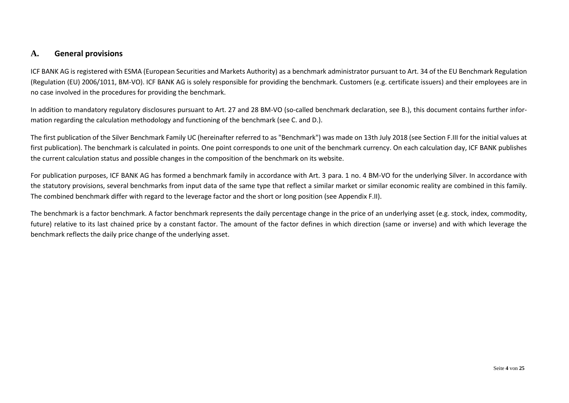## <span id="page-3-0"></span>**A. General provisions**

ICF BANK AG is registered with ESMA (European Securities and Markets Authority) as a benchmark administrator pursuant to Art. 34 of the EU Benchmark Regulation (Regulation (EU) 2006/1011, BM-VO). ICF BANK AG is solely responsible for providing the benchmark. Customers (e.g. certificate issuers) and their employees are in no case involved in the procedures for providing the benchmark.

In addition to mandatory regulatory disclosures pursuant to Art. 27 and 28 BM-VO (so-called benchmark declaration, see B.), this document contains further information regarding the calculation methodology and functioning of the benchmark (see C. and D.).

The first publication of the Silver Benchmark Family UC (hereinafter referred to as "Benchmark") was made on 13th July 2018 (see Section F.III for the initial values at first publication). The benchmark is calculated in points. One point corresponds to one unit of the benchmark currency. On each calculation day, ICF BANK publishes the current calculation status and possible changes in the composition of the benchmark on its website.

For publication purposes, ICF BANK AG has formed a benchmark family in accordance with Art. 3 para. 1 no. 4 BM-VO for the underlying Silver. In accordance with the statutory provisions, several benchmarks from input data of the same type that reflect a similar market or similar economic reality are combined in this family. The combined benchmark differ with regard to the leverage factor and the short or long position (see Appendix F.II).

The benchmark is a factor benchmark. A factor benchmark represents the daily percentage change in the price of an underlying asset (e.g. stock, index, commodity, future) relative to its last chained price by a constant factor. The amount of the factor defines in which direction (same or inverse) and with which leverage the benchmark reflects the daily price change of the underlying asset.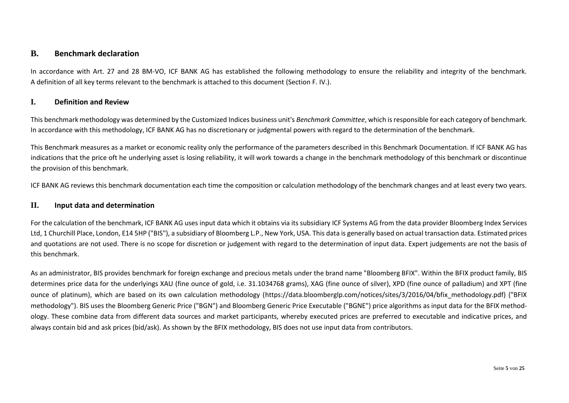## <span id="page-4-0"></span>**B. Benchmark declaration**

In accordance with Art. 27 and 28 BM-VO, ICF BANK AG has established the following methodology to ensure the reliability and integrity of the benchmark. A definition of all key terms relevant to the benchmark is attached to this document (Section F. IV.).

## <span id="page-4-1"></span>**I. Definition and Review**

This benchmark methodology was determined by the Customized Indices business unit's *Benchmark Committee*, which is responsible for each category of benchmark. In accordance with this methodology, ICF BANK AG has no discretionary or judgmental powers with regard to the determination of the benchmark.

This Benchmark measures as a market or economic reality only the performance of the parameters described in this Benchmark Documentation. If ICF BANK AG has indications that the price oft he underlying asset is losing reliability, it will work towards a change in the benchmark methodology of this benchmark or discontinue the provision of this benchmark.

ICF BANK AG reviews this benchmark documentation each time the composition or calculation methodology of the benchmark changes and at least every two years.

#### <span id="page-4-2"></span>**II. Input data and determination**

For the calculation of the benchmark, ICF BANK AG uses input data which it obtains via its subsidiary ICF Systems AG from the data provider Bloomberg Index Services Ltd, 1 Churchill Place, London, E14 5HP ("BIS"), a subsidiary of Bloomberg L.P., New York, USA. This data is generally based on actual transaction data. Estimated prices and quotations are not used. There is no scope for discretion or judgement with regard to the determination of input data. Expert judgements are not the basis of this benchmark.

As an administrator, BIS provides benchmark for foreign exchange and precious metals under the brand name "Bloomberg BFIX". Within the BFIX product family, BIS determines price data for the underlyings XAU (fine ounce of gold, i.e. 31.1034768 grams), XAG (fine ounce of silver), XPD (fine ounce of palladium) and XPT (fine ounce of platinum), which are based on its own calculation methodology (https://data.bloomberglp.com/notices/sites/3/2016/04/bfix methodology.pdf) ("BFIX methodology"). BIS uses the Bloomberg Generic Price ("BGN") and Bloomberg Generic Price Executable ("BGNE") price algorithms as input data for the BFIX methodology. These combine data from different data sources and market participants, whereby executed prices are preferred to executable and indicative prices, and always contain bid and ask prices (bid/ask). As shown by the BFIX methodology, BIS does not use input data from contributors.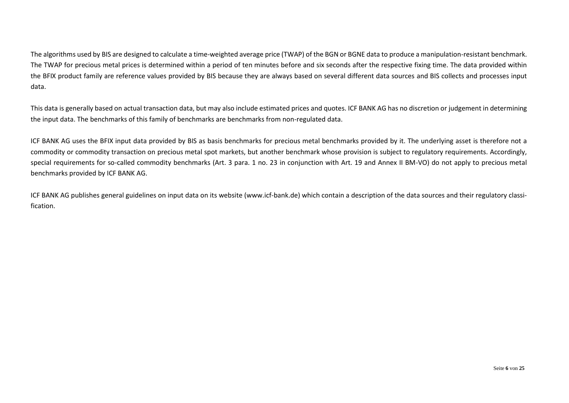The algorithms used by BIS are designed to calculate a time-weighted average price (TWAP) of the BGN or BGNE data to produce a manipulation-resistant benchmark. The TWAP for precious metal prices is determined within a period of ten minutes before and six seconds after the respective fixing time. The data provided within the BFIX product family are reference values provided by BIS because they are always based on several different data sources and BIS collects and processes input data.

This data is generally based on actual transaction data, but may also include estimated prices and quotes. ICF BANK AG has no discretion or judgement in determining the input data. The benchmarks of this family of benchmarks are benchmarks from non-regulated data.

ICF BANK AG uses the BFIX input data provided by BIS as basis benchmarks for precious metal benchmarks provided by it. The underlying asset is therefore not a commodity or commodity transaction on precious metal spot markets, but another benchmark whose provision is subject to regulatory requirements. Accordingly, special requirements for so-called commodity benchmarks (Art. 3 para. 1 no. 23 in conjunction with Art. 19 and Annex II BM-VO) do not apply to precious metal benchmarks provided by ICF BANK AG.

ICF BANK AG publishes general guidelines on input data on its website [\(www.icf-bank.de\)](http://www.icf-bank.de/) which contain a description of the data sources and their regulatory classification.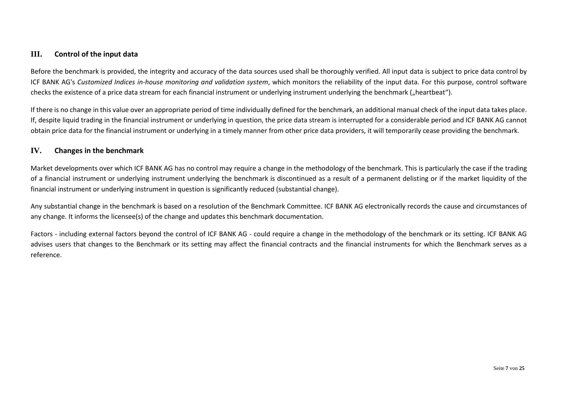## <span id="page-6-0"></span>**III. Control of the input data**

Before the benchmark is provided, the integrity and accuracy of the data sources used shall be thoroughly verified. All input data is subject to price data control by ICF BANK AG's *Customized Indices in-house monitoring and validation system*, which monitors the reliability of the input data. For this purpose, control software checks the existence of a price data stream for each financial instrument or underlying instrument underlying the benchmark ("heartbeat").

If there is no change in this value over an appropriate period of time individually defined for the benchmark, an additional manual check of the input data takes place. If, despite liquid trading in the financial instrument or underlying in question, the price data stream is interrupted for a considerable period and ICF BANK AG cannot obtain price data for the financial instrument or underlying in a timely manner from other price data providers, it will temporarily cease providing the benchmark.

## <span id="page-6-1"></span>**IV. Changes in the benchmark**

Market developments over which ICF BANK AG has no control may require a change in the methodology of the benchmark. This is particularly the case if the trading of a financial instrument or underlying instrument underlying the benchmark is discontinued as a result of a permanent delisting or if the market liquidity of the financial instrument or underlying instrument in question is significantly reduced (substantial change).

Any substantial change in the benchmark is based on a resolution of the Benchmark Committee. ICF BANK AG electronically records the cause and circumstances of any change. It informs the licensee(s) of the change and updates this benchmark documentation.

Factors - including external factors beyond the control of ICF BANK AG - could require a change in the methodology of the benchmark or its setting. ICF BANK AG advises users that changes to the Benchmark or its setting may affect the financial contracts and the financial instruments for which the Benchmark serves as a reference.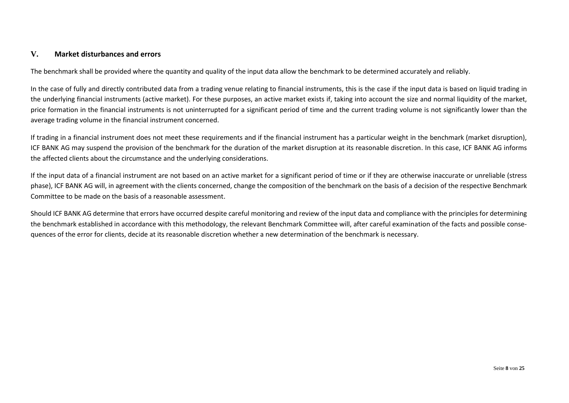### <span id="page-7-0"></span>**V. Market disturbances and errors**

The benchmark shall be provided where the quantity and quality of the input data allow the benchmark to be determined accurately and reliably.

In the case of fully and directly contributed data from a trading venue relating to financial instruments, this is the case if the input data is based on liquid trading in the underlying financial instruments (active market). For these purposes, an active market exists if, taking into account the size and normal liquidity of the market, price formation in the financial instruments is not uninterrupted for a significant period of time and the current trading volume is not significantly lower than the average trading volume in the financial instrument concerned.

If trading in a financial instrument does not meet these requirements and if the financial instrument has a particular weight in the benchmark (market disruption), ICF BANK AG may suspend the provision of the benchmark for the duration of the market disruption at its reasonable discretion. In this case, ICF BANK AG informs the affected clients about the circumstance and the underlying considerations.

If the input data of a financial instrument are not based on an active market for a significant period of time or if they are otherwise inaccurate or unreliable (stress phase), ICF BANK AG will, in agreement with the clients concerned, change the composition of the benchmark on the basis of a decision of the respective Benchmark Committee to be made on the basis of a reasonable assessment.

Should ICF BANK AG determine that errors have occurred despite careful monitoring and review of the input data and compliance with the principles for determining the benchmark established in accordance with this methodology, the relevant Benchmark Committee will, after careful examination of the facts and possible consequences of the error for clients, decide at its reasonable discretion whether a new determination of the benchmark is necessary.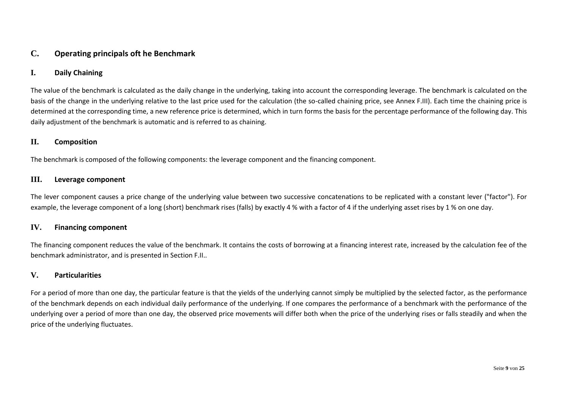## <span id="page-8-0"></span>**C. Operating principals oft he Benchmark**

#### <span id="page-8-1"></span>**I. Daily Chaining**

The value of the benchmark is calculated as the daily change in the underlying, taking into account the corresponding leverage. The benchmark is calculated on the basis of the change in the underlying relative to the last price used for the calculation (the so-called chaining price, see Annex F.III). Each time the chaining price is determined at the corresponding time, a new reference price is determined, which in turn forms the basis for the percentage performance of the following day. This daily adjustment of the benchmark is automatic and is referred to as chaining.

#### <span id="page-8-2"></span>**II. Composition**

The benchmark is composed of the following components: the leverage component and the financing component.

#### <span id="page-8-3"></span>**III. Leverage component**

The lever component causes a price change of the underlying value between two successive concatenations to be replicated with a constant lever ("factor"). For example, the leverage component of a long (short) benchmark rises (falls) by exactly 4 % with a factor of 4 if the underlying asset rises by 1 % on one day.

#### <span id="page-8-4"></span>**IV. Financing component**

The financing component reduces the value of the benchmark. It contains the costs of borrowing at a financing interest rate, increased by the calculation fee of the benchmark administrator, and is presented in Section F.II..

#### <span id="page-8-5"></span>**V. Particularities**

For a period of more than one day, the particular feature is that the yields of the underlying cannot simply be multiplied by the selected factor, as the performance of the benchmark depends on each individual daily performance of the underlying. If one compares the performance of a benchmark with the performance of the underlying over a period of more than one day, the observed price movements will differ both when the price of the underlying rises or falls steadily and when the price of the underlying fluctuates.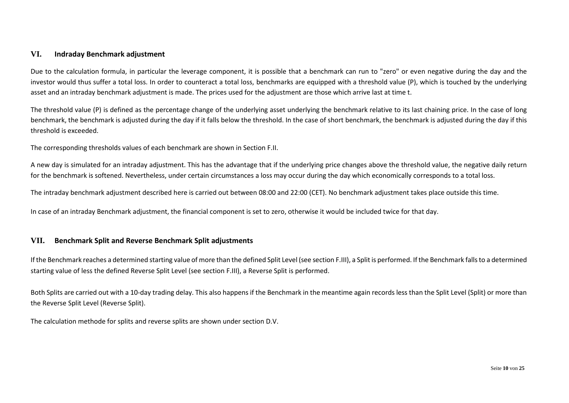#### <span id="page-9-0"></span>**VI. Indraday Benchmark adjustment**

Due to the calculation formula, in particular the leverage component, it is possible that a benchmark can run to "zero" or even negative during the day and the investor would thus suffer a total loss. In order to counteract a total loss, benchmarks are equipped with a threshold value (P), which is touched by the underlying asset and an intraday benchmark adjustment is made. The prices used for the adjustment are those which arrive last at time t.

The threshold value (P) is defined as the percentage change of the underlying asset underlying the benchmark relative to its last chaining price. In the case of long benchmark, the benchmark is adjusted during the day if it falls below the threshold. In the case of short benchmark, the benchmark is adjusted during the day if this threshold is exceeded.

The corresponding thresholds values of each benchmark are shown in Section F.II.

A new day is simulated for an intraday adjustment. This has the advantage that if the underlying price changes above the threshold value, the negative daily return for the benchmark is softened. Nevertheless, under certain circumstances a loss may occur during the day which economically corresponds to a total loss.

The intraday benchmark adjustment described here is carried out between 08:00 and 22:00 (CET). No benchmark adjustment takes place outside this time.

In case of an intraday Benchmark adjustment, the financial component is set to zero, otherwise it would be included twice for that day.

#### <span id="page-9-1"></span>**VII. Benchmark Split and Reverse Benchmark Split adjustments**

If the Benchmark reaches a determined starting value of more than the defined Split Level (see section F.III), a Split is performed. If the Benchmark falls to a determined starting value of less the defined Reverse Split Level (see section F.III), a Reverse Split is performed.

Both Splits are carried out with a 10-day trading delay. This also happens if the Benchmark in the meantime again records less than the Split Level (Split) or more than the Reverse Split Level (Reverse Split).

The calculation methode for splits and reverse splits are shown under section D.V.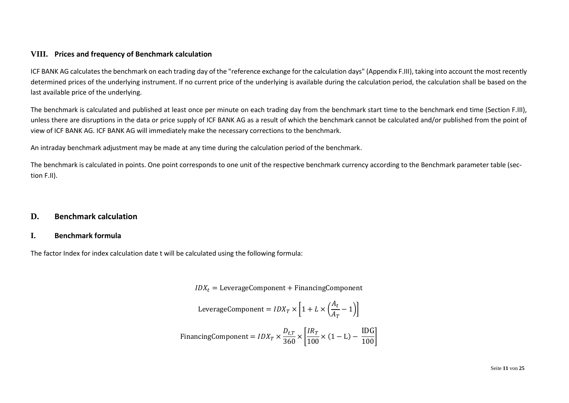## <span id="page-10-0"></span>**VIII. Prices and frequency of Benchmark calculation**

ICF BANK AG calculates the benchmark on each trading day of the "reference exchange for the calculation days" (Appendix F.III), taking into account the most recently determined prices of the underlying instrument. If no current price of the underlying is available during the calculation period, the calculation shall be based on the last available price of the underlying.

The benchmark is calculated and published at least once per minute on each trading day from the benchmark start time to the benchmark end time (Section F.III), unless there are disruptions in the data or price supply of ICF BANK AG as a result of which the benchmark cannot be calculated and/or published from the point of view of ICF BANK AG. ICF BANK AG will immediately make the necessary corrections to the benchmark.

An intraday benchmark adjustment may be made at any time during the calculation period of the benchmark.

The benchmark is calculated in points. One point corresponds to one unit of the respective benchmark currency according to the Benchmark parameter table (section F.II).

## <span id="page-10-1"></span>**D. Benchmark calculation**

### <span id="page-10-2"></span>**I. Benchmark formula**

The factor Index for index calculation date t will be calculated using the following formula:

 $IDX_t = \text{LeverageComponent} + \text{Financial Company}$ 

$$
LeverageComponent = IDX_T \times \left[1 + L \times \left(\frac{A_t}{A_T} - 1\right)\right]
$$

$$
Financial Component = IDX_T \times \frac{D_{t,T}}{360} \times \left[ \frac{IR_T}{100} \times (1 - L) - \frac{IDG}{100} \right]
$$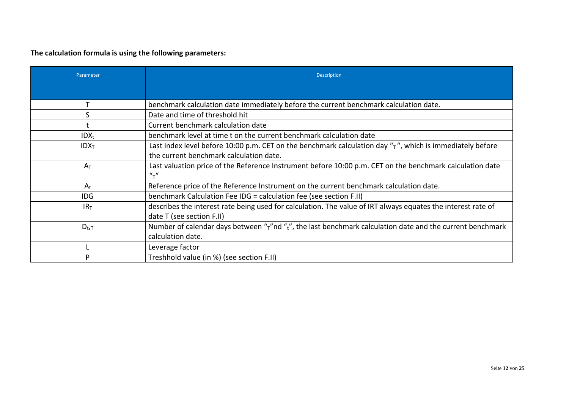**The calculation formula is using the following parameters:**

| Parameter        | Description                                                                                                                  |
|------------------|------------------------------------------------------------------------------------------------------------------------------|
|                  |                                                                                                                              |
|                  | benchmark calculation date immediately before the current benchmark calculation date.                                        |
| S                | Date and time of threshold hit                                                                                               |
|                  | Current benchmark calculation date                                                                                           |
| $IDX_t$          | benchmark level at time t on the current benchmark calculation date                                                          |
| IDX <sub>T</sub> | Last index level before 10:00 p.m. CET on the benchmark calculation day $\pi$ , which is immediately before                  |
|                  | the current benchmark calculation date.                                                                                      |
| $A_T$            | Last valuation price of the Reference Instrument before 10:00 p.m. CET on the benchmark calculation date<br>$\frac{u}{\tau}$ |
| $A_t$            | Reference price of the Reference Instrument on the current benchmark calculation date.                                       |
| <b>IDG</b>       | benchmark Calculation Fee IDG = calculation fee (see section F.II)                                                           |
| IR <sub>T</sub>  | describes the interest rate being used for calculation. The value of IRT always equates the interest rate of                 |
|                  | date T (see section F.II)                                                                                                    |
| $D_{t,T}$        | Number of calendar days between " $\tau$ "nd " $\tau$ ", the last benchmark calculation date and the current benchmark       |
|                  | calculation date.                                                                                                            |
|                  | Leverage factor                                                                                                              |
| D                | Treshhold value (in %) (see section F.II)                                                                                    |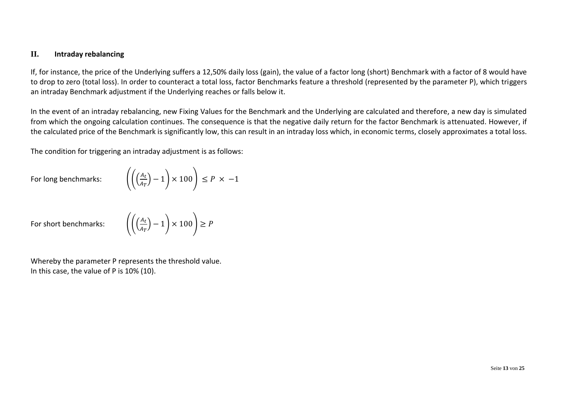## <span id="page-12-0"></span>**II. Intraday rebalancing**

If, for instance, the price of the Underlying suffers a 12,50% daily loss (gain), the value of a factor long (short) Benchmark with a factor of 8 would have to drop to zero (total loss). In order to counteract a total loss, factor Benchmarks feature a threshold (represented by the parameter P), which triggers an intraday Benchmark adjustment if the Underlying reaches or falls below it.

In the event of an intraday rebalancing, new Fixing Values for the Benchmark and the Underlying are calculated and therefore, a new day is simulated from which the ongoing calculation continues. The consequence is that the negative daily return for the factor Benchmark is attenuated. However, if the calculated price of the Benchmark is significantly low, this can result in an intraday loss which, in economic terms, closely approximates a total loss.

The condition for triggering an intraday adjustment is as follows:

For long benchmarks: 
$$
\left( \left( \frac{A_t}{A_T} \right) - 1 \right) \times 100 \right) \le P \times -1
$$

For short benchmarks:

$$
\left( \left( \left( \frac{A_t}{A_T} \right) - 1 \right) \times 100 \right) \ge P
$$

Whereby the parameter P represents the threshold value. In this case, the value of P is 10% (10).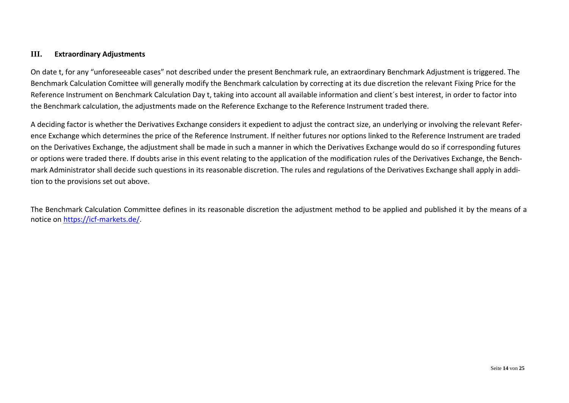#### <span id="page-13-0"></span>**III. Extraordinary Adjustments**

On date t, for any "unforeseeable cases" not described under the present Benchmark rule, an extraordinary Benchmark Adjustment is triggered. The Benchmark Calculation Comittee will generally modify the Benchmark calculation by correcting at its due discretion the relevant Fixing Price for the Reference Instrument on Benchmark Calculation Day t, taking into account all available information and client´s best interest, in order to factor into the Benchmark calculation, the adjustments made on the Reference Exchange to the Reference Instrument traded there.

A deciding factor is whether the Derivatives Exchange considers it expedient to adjust the contract size, an underlying or involving the relevant Reference Exchange which determines the price of the Reference Instrument. If neither futures nor options linked to the Reference Instrument are traded on the Derivatives Exchange, the adjustment shall be made in such a manner in which the Derivatives Exchange would do so if corresponding futures or options were traded there. If doubts arise in this event relating to the application of the modification rules of the Derivatives Exchange, the Benchmark Administrator shall decide such questions in its reasonable discretion. The rules and regulations of the Derivatives Exchange shall apply in addition to the provisions set out above.

The Benchmark Calculation Committee defines in its reasonable discretion the adjustment method to be applied and published it by the means of a notice on [https://icf-markets.de/.](https://icf-markets.de/)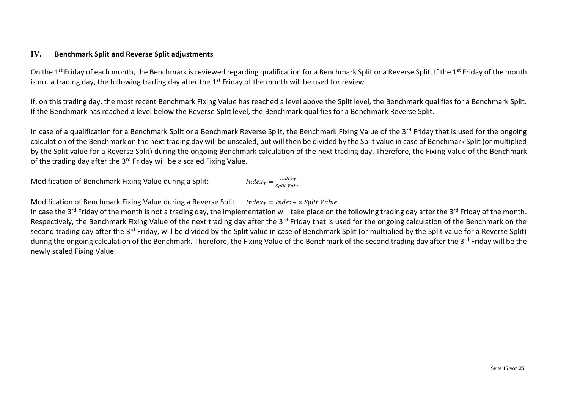## <span id="page-14-0"></span>**IV. Benchmark Split and Reverse Split adjustments**

On the 1<sup>st</sup> Friday of each month, the Benchmark is reviewed regarding qualification for a Benchmark Split or a Reverse Split. If the 1<sup>st</sup> Friday of the month is not a trading day, the following trading day after the 1<sup>st</sup> Friday of the month will be used for review.

If, on this trading day, the most recent Benchmark Fixing Value has reached a level above the Split level, the Benchmark qualifies for a Benchmark Split. If the Benchmark has reached a level below the Reverse Split level, the Benchmark qualifies for a Benchmark Reverse Split.

In case of a qualification for a Benchmark Split or a Benchmark Reverse Split, the Benchmark Fixing Value of the 3<sup>rd</sup> Friday that is used for the ongoing calculation of the Benchmark on the next trading day will be unscaled, but will then be divided by the Split value in case of Benchmark Split (or multiplied by the Split value for a Reverse Split) during the ongoing Benchmark calculation of the next trading day. Therefore, the Fixing Value of the Benchmark of the trading day after the 3<sup>rd</sup> Friday will be a scaled Fixing Value.

Modification of Benchmark Fixing Value during a Split:

$$
Index_T = \frac{Index_T}{split \, value}
$$

Modification of Benchmark Fixing Value during a Reverse Split: Index<sub>r</sub> = Index<sub>r</sub>  $\times$  Split Value

In case the 3<sup>rd</sup> Friday of the month is not a trading day, the implementation will take place on the following trading day after the 3<sup>rd</sup> Friday of the month. Respectively, the Benchmark Fixing Value of the next trading day after the 3<sup>rd</sup> Friday that is used for the ongoing calculation of the Benchmark on the second trading day after the 3<sup>rd</sup> Friday, will be divided by the Split value in case of Benchmark Split (or multiplied by the Split value for a Reverse Split) during the ongoing calculation of the Benchmark. Therefore, the Fixing Value of the Benchmark of the second trading day after the 3<sup>rd</sup> Friday will be the newly scaled Fixing Value.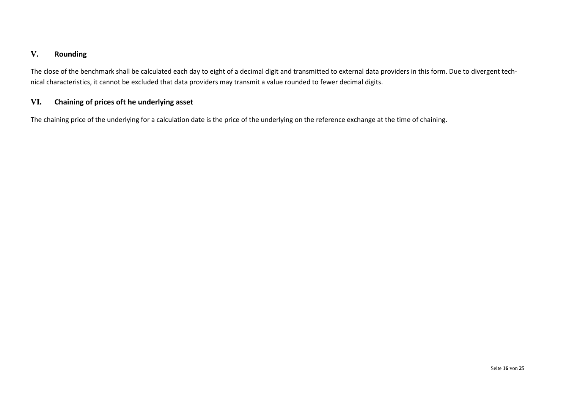### <span id="page-15-0"></span>**V. Rounding**

The close of the benchmark shall be calculated each day to eight of a decimal digit and transmitted to external data providers in this form. Due to divergent technical characteristics, it cannot be excluded that data providers may transmit a value rounded to fewer decimal digits.

## <span id="page-15-1"></span>**VI. Chaining of prices oft he underlying asset**

The chaining price of the underlying for a calculation date is the price of the underlying on the reference exchange at the time of chaining.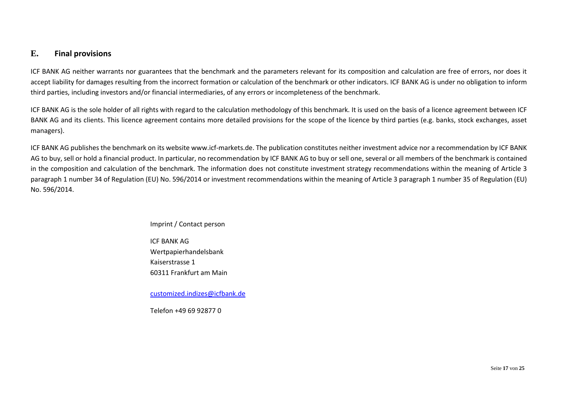## <span id="page-16-0"></span>**E. Final provisions**

ICF BANK AG neither warrants nor guarantees that the benchmark and the parameters relevant for its composition and calculation are free of errors, nor does it accept liability for damages resulting from the incorrect formation or calculation of the benchmark or other indicators. ICF BANK AG is under no obligation to inform third parties, including investors and/or financial intermediaries, of any errors or incompleteness of the benchmark.

ICF BANK AG is the sole holder of all rights with regard to the calculation methodology of this benchmark. It is used on the basis of a licence agreement between ICF BANK AG and its clients. This licence agreement contains more detailed provisions for the scope of the licence by third parties (e.g. banks, stock exchanges, asset managers).

ICF BANK AG publishes the benchmark on its website www.icf-markets.de. The publication constitutes neither investment advice nor a recommendation by ICF BANK AG to buy, sell or hold a financial product. In particular, no recommendation by ICF BANK AG to buy or sell one, several or all members of the benchmark is contained in the composition and calculation of the benchmark. The information does not constitute investment strategy recommendations within the meaning of Article 3 paragraph 1 number 34 of Regulation (EU) No. 596/2014 or investment recommendations within the meaning of Article 3 paragraph 1 number 35 of Regulation (EU) No. 596/2014.

#### Imprint / Contact person

ICF BANK AG Wertpapierhandelsbank Kaiserstrasse 1 60311 Frankfurt am Main

[customized.indizes@icfbank.de](mailto:customized.indizes@icfbank.de)

Telefon +49 69 92877 0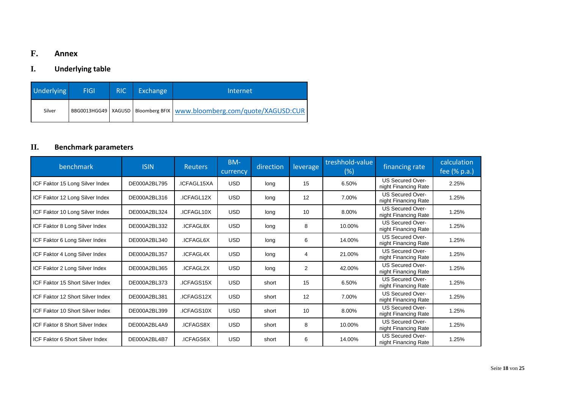## <span id="page-17-0"></span>**F. Annex**

## <span id="page-17-1"></span>**I. Underlying table**

| <b>Underlying</b> | <b>FIGI</b> | <b>RIC</b> | Exchange | Internet                                                                    |
|-------------------|-------------|------------|----------|-----------------------------------------------------------------------------|
| Silver            |             |            |          | BBG0013HGG49   XAGUSD   Bloomberg BFIX   www.bloomberg.com/quote/XAGUSD:CUR |

## <span id="page-17-2"></span>**II. Benchmark parameters**

| benchmark                        | <b>ISIN</b>  | <b>Reuters</b>  | BM-<br>currency | direction | leverage | treshhold-value<br>(%) | financing rate                                  | calculation<br>fee (% p.a.) |
|----------------------------------|--------------|-----------------|-----------------|-----------|----------|------------------------|-------------------------------------------------|-----------------------------|
| ICF Faktor 15 Long Silver Index  | DE000A2BL795 | .ICFAGL15XA     | <b>USD</b>      | long      | 15       | 6.50%                  | <b>US Secured Over-</b><br>night Financing Rate | 2.25%                       |
| ICF Faktor 12 Long Silver Index  | DE000A2BL316 | .ICFAGL12X      | <b>USD</b>      | long      | 12       | 7.00%                  | <b>US Secured Over-</b><br>night Financing Rate | 1.25%                       |
| ICF Faktor 10 Long Silver Index  | DE000A2BL324 | .ICFAGL10X      | <b>USD</b>      | long      | 10       | 8.00%                  | <b>US Secured Over-</b><br>night Financing Rate | 1.25%                       |
| ICF Faktor 8 Long Silver Index   | DE000A2BL332 | .ICFAGL8X       | <b>USD</b>      | long      | 8        | 10.00%                 | <b>US Secured Over-</b><br>night Financing Rate | 1.25%                       |
| ICF Faktor 6 Long Silver Index   | DE000A2BL340 | .ICFAGL6X       | <b>USD</b>      | long      | 6        | 14.00%                 | <b>US Secured Over-</b><br>night Financing Rate | 1.25%                       |
| ICF Faktor 4 Long Silver Index   | DE000A2BL357 | .ICFAGL4X       | <b>USD</b>      | long      | 4        | 21.00%                 | <b>US Secured Over-</b><br>night Financing Rate | 1.25%                       |
| ICF Faktor 2 Long Silver Index   | DE000A2BL365 | .ICFAGL2X       | <b>USD</b>      | long      | 2        | 42.00%                 | <b>US Secured Over-</b><br>night Financing Rate | 1.25%                       |
| ICF Faktor 15 Short Silver Index | DE000A2BL373 | .ICFAGS15X      | <b>USD</b>      | short     | 15       | 6.50%                  | <b>US Secured Over-</b><br>night Financing Rate | 1.25%                       |
| ICF Faktor 12 Short Silver Index | DE000A2BL381 | .ICFAGS12X      | <b>USD</b>      | short     | 12       | 7.00%                  | <b>US Secured Over-</b><br>night Financing Rate | 1.25%                       |
| ICF Faktor 10 Short Silver Index | DE000A2BL399 | .ICFAGS10X      | <b>USD</b>      | short     | 10       | 8.00%                  | <b>US Secured Over-</b><br>night Financing Rate | 1.25%                       |
| ICF Faktor 8 Short Silver Index  | DE000A2BL4A9 | <b>ICFAGS8X</b> | <b>USD</b>      | short     | 8        | 10.00%                 | <b>US Secured Over-</b><br>night Financing Rate | 1.25%                       |
| ICF Faktor 6 Short Silver Index  | DE000A2BL4B7 | <b>ICFAGS6X</b> | <b>USD</b>      | short     | 6        | 14.00%                 | <b>US Secured Over-</b><br>night Financing Rate | 1.25%                       |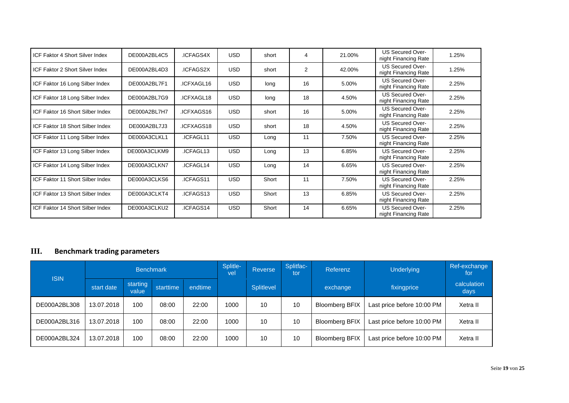| ICF Faktor 4 Short Silver Index  | DE000A2BL4C5 | <b>ICFAGS4X</b> | <b>USD</b> | short | 4              | 21.00% | <b>US Secured Over-</b><br>night Financing Rate | 1.25% |
|----------------------------------|--------------|-----------------|------------|-------|----------------|--------|-------------------------------------------------|-------|
| ICF Faktor 2 Short Silver Index  | DE000A2BL4D3 | .ICFAGS2X       | <b>USD</b> | short | $\overline{2}$ | 42.00% | US Secured Over-<br>night Financing Rate        | 1.25% |
| ICF Faktor 16 Long Silber Index  | DE000A2BL7F1 | .ICFXAGL16      | <b>USD</b> | long  | 16             | 5.00%  | <b>US Secured Over-</b><br>night Financing Rate | 2.25% |
| ICF Faktor 18 Long Silber Index  | DE000A2BL7G9 | .ICFXAGL18      | <b>USD</b> | long  | 18             | 4.50%  | <b>US Secured Over-</b><br>night Financing Rate | 2.25% |
| ICF Faktor 16 Short Silber Index | DE000A2BL7H7 | .ICFXAGS16      | <b>USD</b> | short | 16             | 5.00%  | <b>US Secured Over-</b><br>night Financing Rate | 2.25% |
| ICF Faktor 18 Short Silber Index | DE000A2BL7J3 | .ICFXAGS18      | <b>USD</b> | short | 18             | 4.50%  | <b>US Secured Over-</b><br>night Financing Rate | 2.25% |
| ICF Faktor 11 Long Silber Index  | DE000A3CLKL1 | .ICFAGL11       | <b>USD</b> | Long  | 11             | 7.50%  | <b>US Secured Over-</b><br>night Financing Rate | 2.25% |
| ICF Faktor 13 Long Silber Index  | DE000A3CLKM9 | .ICFAGL13       | <b>USD</b> | Long  | 13             | 6.85%  | <b>US Secured Over-</b><br>night Financing Rate | 2.25% |
| ICF Faktor 14 Long Silber Index  | DE000A3CLKN7 | .ICFAGL14       | <b>USD</b> | Long  | 14             | 6.65%  | <b>US Secured Over-</b><br>night Financing Rate | 2.25% |
| ICF Faktor 11 Short Silber Index | DE000A3CLKS6 | .ICFAGS11       | <b>USD</b> | Short | 11             | 7.50%  | <b>US Secured Over-</b><br>night Financing Rate | 2.25% |
| ICF Faktor 13 Short Silber Index | DE000A3CLKT4 | .ICFAGS13       | <b>USD</b> | Short | 13             | 6.85%  | <b>US Secured Over-</b><br>night Financing Rate | 2.25% |
| ICF Faktor 14 Short Silber Index | DE000A3CLKU2 | .ICFAGS14       | <b>USD</b> | Short | 14             | 6.65%  | <b>US Secured Over-</b><br>night Financing Rate | 2.25% |

## <span id="page-18-0"></span>**III. Benchmark trading parameters**

| <b>ISIN</b>  |            |                   | <b>Benchmark</b> |         | Splitle-<br>vel | Reverse    | Splitfac-<br>tor. | Referenz              | <b>Underlying</b>          | Ref-exchange<br>for |
|--------------|------------|-------------------|------------------|---------|-----------------|------------|-------------------|-----------------------|----------------------------|---------------------|
|              | start date | starting<br>value | starttime        | endtime |                 | Splitlevel |                   | exchange              | fixingprice                | calculation<br>days |
| DE000A2BL308 | 13.07.2018 | 100               | 08:00            | 22:00   | 1000            | 10         | 10                | <b>Bloomberg BFIX</b> | Last price before 10:00 PM | Xetra II            |
| DE000A2BL316 | 13.07.2018 | 100               | 08:00            | 22:00   | 1000            | 10         | 10                | <b>Bloomberg BFIX</b> | Last price before 10:00 PM | Xetra II            |
| DE000A2BL324 | 13.07.2018 | 100               | 08:00            | 22:00   | 1000            | 10         | 10                | <b>Bloomberg BFIX</b> | Last price before 10:00 PM | Xetra II            |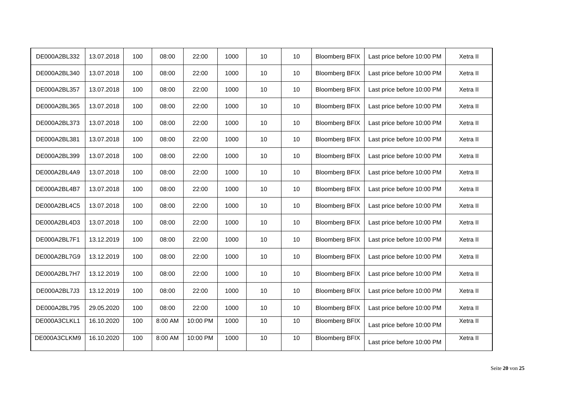| DE000A2BL332 | 13.07.2018 | 100 | 08:00   | 22:00    | 1000 | 10 | 10              | <b>Bloomberg BFIX</b> | Last price before 10:00 PM | Xetra II |
|--------------|------------|-----|---------|----------|------|----|-----------------|-----------------------|----------------------------|----------|
| DE000A2BL340 | 13.07.2018 | 100 | 08:00   | 22:00    | 1000 | 10 | 10              | <b>Bloomberg BFIX</b> | Last price before 10:00 PM | Xetra II |
| DE000A2BL357 | 13.07.2018 | 100 | 08:00   | 22:00    | 1000 | 10 | 10              | <b>Bloomberg BFIX</b> | Last price before 10:00 PM | Xetra II |
| DE000A2BL365 | 13.07.2018 | 100 | 08:00   | 22:00    | 1000 | 10 | 10              | <b>Bloomberg BFIX</b> | Last price before 10:00 PM | Xetra II |
| DE000A2BL373 | 13.07.2018 | 100 | 08:00   | 22:00    | 1000 | 10 | 10              | <b>Bloomberg BFIX</b> | Last price before 10:00 PM | Xetra II |
| DE000A2BL381 | 13.07.2018 | 100 | 08:00   | 22:00    | 1000 | 10 | 10              | <b>Bloomberg BFIX</b> | Last price before 10:00 PM | Xetra II |
| DE000A2BL399 | 13.07.2018 | 100 | 08:00   | 22:00    | 1000 | 10 | 10              | <b>Bloomberg BFIX</b> | Last price before 10:00 PM | Xetra II |
| DE000A2BL4A9 | 13.07.2018 | 100 | 08:00   | 22:00    | 1000 | 10 | 10              | <b>Bloomberg BFIX</b> | Last price before 10:00 PM | Xetra II |
| DE000A2BL4B7 | 13.07.2018 | 100 | 08:00   | 22:00    | 1000 | 10 | 10              | <b>Bloomberg BFIX</b> | Last price before 10:00 PM | Xetra II |
| DE000A2BL4C5 | 13.07.2018 | 100 | 08:00   | 22:00    | 1000 | 10 | 10 <sup>1</sup> | <b>Bloomberg BFIX</b> | Last price before 10:00 PM | Xetra II |
| DE000A2BL4D3 | 13.07.2018 | 100 | 08:00   | 22:00    | 1000 | 10 | 10              | <b>Bloomberg BFIX</b> | Last price before 10:00 PM | Xetra II |
| DE000A2BL7F1 | 13.12.2019 | 100 | 08:00   | 22:00    | 1000 | 10 | 10              | <b>Bloomberg BFIX</b> | Last price before 10:00 PM | Xetra II |
| DE000A2BL7G9 | 13.12.2019 | 100 | 08:00   | 22:00    | 1000 | 10 | 10              | <b>Bloomberg BFIX</b> | Last price before 10:00 PM | Xetra II |
| DE000A2BL7H7 | 13.12.2019 | 100 | 08:00   | 22:00    | 1000 | 10 | 10              | <b>Bloomberg BFIX</b> | Last price before 10:00 PM | Xetra II |
| DE000A2BL7J3 | 13.12.2019 | 100 | 08:00   | 22:00    | 1000 | 10 | 10              | <b>Bloomberg BFIX</b> | Last price before 10:00 PM | Xetra II |
| DE000A2BL795 | 29.05.2020 | 100 | 08:00   | 22:00    | 1000 | 10 | 10              | <b>Bloomberg BFIX</b> | Last price before 10:00 PM | Xetra II |
| DE000A3CLKL1 | 16.10.2020 | 100 | 8:00 AM | 10:00 PM | 1000 | 10 | 10              | <b>Bloomberg BFIX</b> | Last price before 10:00 PM | Xetra II |
| DE000A3CLKM9 | 16.10.2020 | 100 | 8:00 AM | 10:00 PM | 1000 | 10 | 10              | <b>Bloomberg BFIX</b> | Last price before 10:00 PM | Xetra II |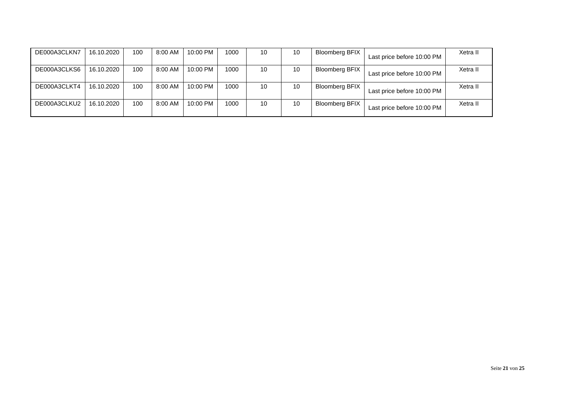| DE000A3CLKN7 | 16.10.2020 | 100 | 8:00 AM | 10:00 PM | 1000 | 10 | 10 | <b>Bloomberg BFIX</b> | Last price before 10:00 PM | Xetra II |
|--------------|------------|-----|---------|----------|------|----|----|-----------------------|----------------------------|----------|
| DE000A3CLKS6 | 16.10.2020 | 100 | 8:00 AM | 10:00 PM | 1000 | 10 | 10 | <b>Bloomberg BFIX</b> | Last price before 10:00 PM | Xetra II |
| DE000A3CLKT4 | 16.10.2020 | 100 | 8:00 AM | 10:00 PM | 1000 | 10 | 10 | <b>Bloomberg BFIX</b> | Last price before 10:00 PM | Xetra II |
| DE000A3CLKU2 | 16.10.2020 | 100 | 8:00 AM | 10:00 PM | 1000 | 10 | 10 | <b>Bloomberg BFIX</b> | Last price before 10:00 PM | Xetra II |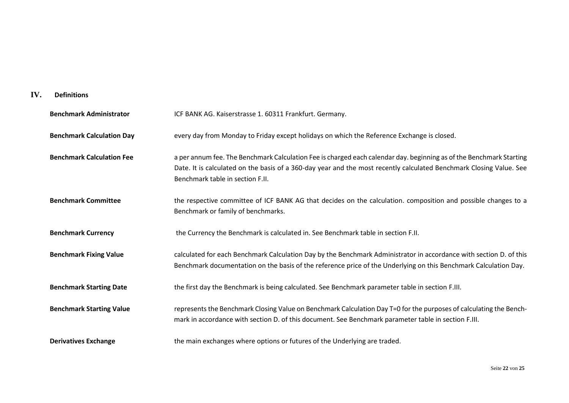## <span id="page-21-0"></span>**IV. Definitions**

| <b>Benchmark Administrator</b>   | ICF BANK AG. Kaiserstrasse 1. 60311 Frankfurt. Germany.                                                                                                                                                                                                                        |
|----------------------------------|--------------------------------------------------------------------------------------------------------------------------------------------------------------------------------------------------------------------------------------------------------------------------------|
| <b>Benchmark Calculation Day</b> | every day from Monday to Friday except holidays on which the Reference Exchange is closed.                                                                                                                                                                                     |
| <b>Benchmark Calculation Fee</b> | a per annum fee. The Benchmark Calculation Fee is charged each calendar day. beginning as of the Benchmark Starting<br>Date. It is calculated on the basis of a 360-day year and the most recently calculated Benchmark Closing Value. See<br>Benchmark table in section F.II. |
| <b>Benchmark Committee</b>       | the respective committee of ICF BANK AG that decides on the calculation. composition and possible changes to a<br>Benchmark or family of benchmarks.                                                                                                                           |
| <b>Benchmark Currency</b>        | the Currency the Benchmark is calculated in. See Benchmark table in section F.II.                                                                                                                                                                                              |
| <b>Benchmark Fixing Value</b>    | calculated for each Benchmark Calculation Day by the Benchmark Administrator in accordance with section D. of this<br>Benchmark documentation on the basis of the reference price of the Underlying on this Benchmark Calculation Day.                                         |
| <b>Benchmark Starting Date</b>   | the first day the Benchmark is being calculated. See Benchmark parameter table in section F.III.                                                                                                                                                                               |
| <b>Benchmark Starting Value</b>  | represents the Benchmark Closing Value on Benchmark Calculation Day T=0 for the purposes of calculating the Bench-<br>mark in accordance with section D. of this document. See Benchmark parameter table in section F.III.                                                     |
| <b>Derivatives Exchange</b>      | the main exchanges where options or futures of the Underlying are traded.                                                                                                                                                                                                      |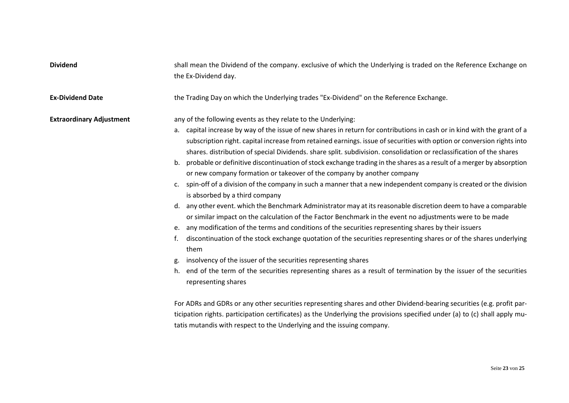| <b>Dividend</b>                 | shall mean the Dividend of the company. exclusive of which the Underlying is traded on the Reference Exchange on<br>the Ex-Dividend day.                                                                                                                                                                                                                                                                                                                                                                                                                                                                                                                                                                                                                                                                                                                                                                                                                                                                                                                                                                                                                                                                                                                                                                                                                                                                                                                                                                                       |
|---------------------------------|--------------------------------------------------------------------------------------------------------------------------------------------------------------------------------------------------------------------------------------------------------------------------------------------------------------------------------------------------------------------------------------------------------------------------------------------------------------------------------------------------------------------------------------------------------------------------------------------------------------------------------------------------------------------------------------------------------------------------------------------------------------------------------------------------------------------------------------------------------------------------------------------------------------------------------------------------------------------------------------------------------------------------------------------------------------------------------------------------------------------------------------------------------------------------------------------------------------------------------------------------------------------------------------------------------------------------------------------------------------------------------------------------------------------------------------------------------------------------------------------------------------------------------|
| <b>Ex-Dividend Date</b>         | the Trading Day on which the Underlying trades "Ex-Dividend" on the Reference Exchange.                                                                                                                                                                                                                                                                                                                                                                                                                                                                                                                                                                                                                                                                                                                                                                                                                                                                                                                                                                                                                                                                                                                                                                                                                                                                                                                                                                                                                                        |
| <b>Extraordinary Adjustment</b> | any of the following events as they relate to the Underlying:<br>capital increase by way of the issue of new shares in return for contributions in cash or in kind with the grant of a<br>а.<br>subscription right. capital increase from retained earnings. issue of securities with option or conversion rights into<br>shares. distribution of special Dividends. share split. subdivision. consolidation or reclassification of the shares<br>probable or definitive discontinuation of stock exchange trading in the shares as a result of a merger by absorption<br>b.<br>or new company formation or takeover of the company by another company<br>spin-off of a division of the company in such a manner that a new independent company is created or the division<br>c.<br>is absorbed by a third company<br>any other event. which the Benchmark Administrator may at its reasonable discretion deem to have a comparable<br>d.<br>or similar impact on the calculation of the Factor Benchmark in the event no adjustments were to be made<br>any modification of the terms and conditions of the securities representing shares by their issuers<br>e.<br>discontinuation of the stock exchange quotation of the securities representing shares or of the shares underlying<br>f.<br>them<br>insolvency of the issuer of the securities representing shares<br>g.<br>end of the term of the securities representing shares as a result of termination by the issuer of the securities<br>h.<br>representing shares |
|                                 | For ADRs and GDRs or any other securities representing shares and other Dividend-bearing securities (e.g. profit par-<br>ticipation rights. participation certificates) as the Underlying the provisions specified under (a) to (c) shall apply mu-<br>tatis mutandis with respect to the Underlying and the issuing company.                                                                                                                                                                                                                                                                                                                                                                                                                                                                                                                                                                                                                                                                                                                                                                                                                                                                                                                                                                                                                                                                                                                                                                                                  |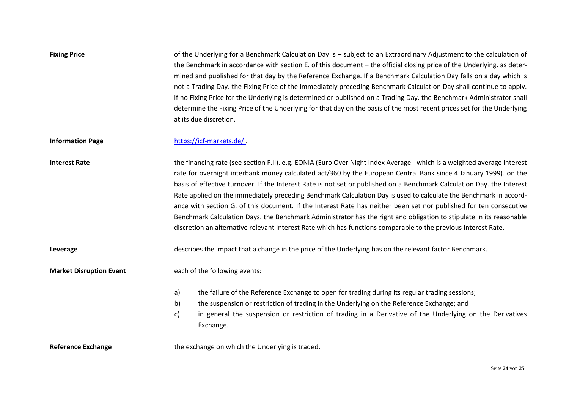| <b>Fixing Price</b>            | of the Underlying for a Benchmark Calculation Day is - subject to an Extraordinary Adjustment to the calculation of<br>the Benchmark in accordance with section E. of this document - the official closing price of the Underlying. as deter-<br>mined and published for that day by the Reference Exchange. If a Benchmark Calculation Day falls on a day which is<br>not a Trading Day. the Fixing Price of the immediately preceding Benchmark Calculation Day shall continue to apply.<br>If no Fixing Price for the Underlying is determined or published on a Trading Day. the Benchmark Administrator shall<br>determine the Fixing Price of the Underlying for that day on the basis of the most recent prices set for the Underlying<br>at its due discretion.                                                                                   |  |  |  |  |  |  |
|--------------------------------|-----------------------------------------------------------------------------------------------------------------------------------------------------------------------------------------------------------------------------------------------------------------------------------------------------------------------------------------------------------------------------------------------------------------------------------------------------------------------------------------------------------------------------------------------------------------------------------------------------------------------------------------------------------------------------------------------------------------------------------------------------------------------------------------------------------------------------------------------------------|--|--|--|--|--|--|
| <b>Information Page</b>        | https://icf-markets.de/                                                                                                                                                                                                                                                                                                                                                                                                                                                                                                                                                                                                                                                                                                                                                                                                                                   |  |  |  |  |  |  |
| <b>Interest Rate</b>           | the financing rate (see section F.II). e.g. EONIA (Euro Over Night Index Average - which is a weighted average interest<br>rate for overnight interbank money calculated act/360 by the European Central Bank since 4 January 1999). on the<br>basis of effective turnover. If the Interest Rate is not set or published on a Benchmark Calculation Day. the Interest<br>Rate applied on the immediately preceding Benchmark Calculation Day is used to calculate the Benchmark in accord-<br>ance with section G. of this document. If the Interest Rate has neither been set nor published for ten consecutive<br>Benchmark Calculation Days. the Benchmark Administrator has the right and obligation to stipulate in its reasonable<br>discretion an alternative relevant Interest Rate which has functions comparable to the previous Interest Rate. |  |  |  |  |  |  |
| Leverage                       | describes the impact that a change in the price of the Underlying has on the relevant factor Benchmark.                                                                                                                                                                                                                                                                                                                                                                                                                                                                                                                                                                                                                                                                                                                                                   |  |  |  |  |  |  |
| <b>Market Disruption Event</b> | each of the following events:                                                                                                                                                                                                                                                                                                                                                                                                                                                                                                                                                                                                                                                                                                                                                                                                                             |  |  |  |  |  |  |
|                                | the failure of the Reference Exchange to open for trading during its regular trading sessions;<br>a)<br>b)<br>the suspension or restriction of trading in the Underlying on the Reference Exchange; and<br>in general the suspension or restriction of trading in a Derivative of the Underlying on the Derivatives<br>c)<br>Exchange.                                                                                                                                                                                                                                                                                                                                                                                                                                                                                                                    |  |  |  |  |  |  |
| <b>Reference Exchange</b>      | the exchange on which the Underlying is traded.                                                                                                                                                                                                                                                                                                                                                                                                                                                                                                                                                                                                                                                                                                                                                                                                           |  |  |  |  |  |  |